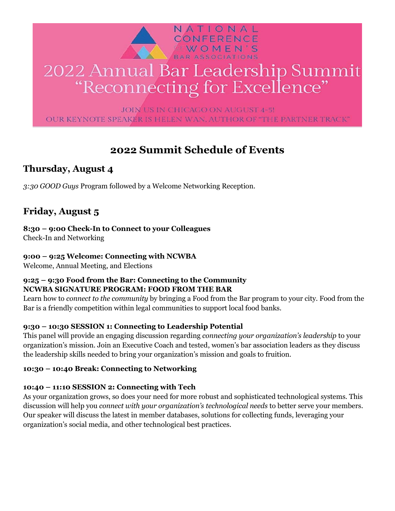

# 2022 Annual Bar Leadership Summit "Reconnecting for Excellence"

JOIN US IN CHICAGO ON AUGUST 4-5! OUR KEYNOTE SPEAKER IS HELEN WAN, AUTHOR OF "THE PARTNER TRACK"

# **2022 Summit Schedule of Events**

# **Thursday, August 4**

*3:30 GOOD Guys* Program followed by a Welcome Networking Reception.

# **Friday, August 5**

**8:30 – 9:00 Check-In to Connect to your Colleagues** Check-In and Networking

# **9:00 – 9:25 Welcome: Connecting with NCWBA**

Welcome, Annual Meeting, and Elections

# **9:25 – 9:30 Food from the Bar: Connecting to the Community NCWBA SIGNATURE PROGRAM: FOOD FROM THE BAR**

Learn how to *connect to the community* by bringing a Food from the Bar program to your city. Food from the Bar is a friendly competition within legal communities to support local food banks.

# **9:30 – 10:30 SESSION 1: Connecting to Leadership Potential**

This panel will provide an engaging discussion regarding *connecting your organization's leadership* to your organization's mission. Join an Executive Coach and tested, women's bar association leaders as they discuss the leadership skills needed to bring your organization's mission and goals to fruition.

# **10:30 – 10:40 Break: Connecting to Networking**

# **10:40 – 11:10 SESSION 2: Connecting with Tech**

As your organization grows, so does your need for more robust and sophisticated technological systems. This discussion will help you *connect with your organization's technological needs* to better serve your members. Our speaker will discuss the latest in member databases, solutions for collecting funds, leveraging your organization's social media, and other technological best practices.